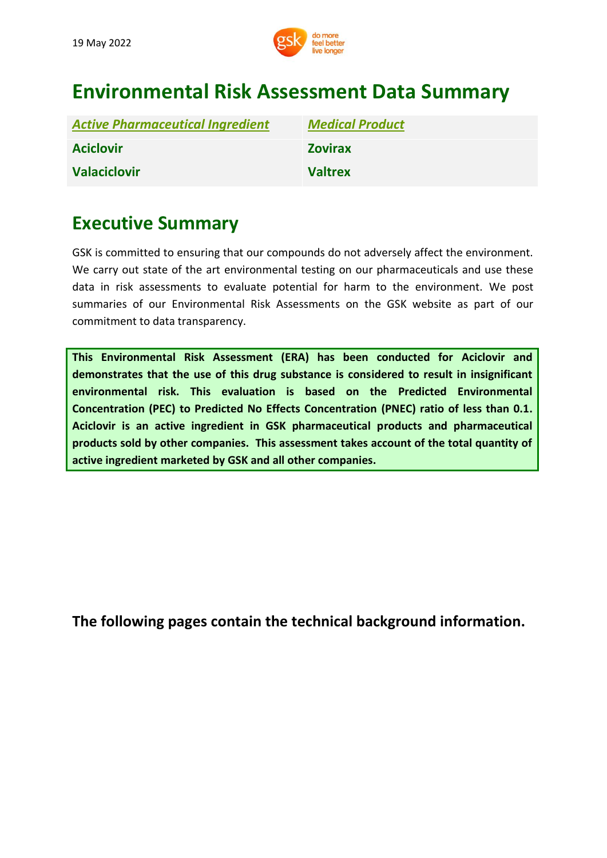

# **Environmental Risk Assessment Data Summary**

| <b>Active Pharmaceutical Ingredient</b> | <b>Medical Product</b> |
|-----------------------------------------|------------------------|
| <b>Aciclovir</b>                        | <b>Zovirax</b>         |
| <b>Valaciclovir</b>                     | <b>Valtrex</b>         |

## **Executive Summary**

GSK is committed to ensuring that our compounds do not adversely affect the environment. We carry out state of the art environmental testing on our pharmaceuticals and use these data in risk assessments to evaluate potential for harm to the environment. We post summaries of our Environmental Risk Assessments on the GSK website as part of our commitment to data transparency.

**This Environmental Risk Assessment (ERA) has been conducted for Aciclovir and demonstrates that the use of this drug substance is considered to result in insignificant environmental risk. This evaluation is based on the Predicted Environmental Concentration (PEC) to Predicted No Effects Concentration (PNEC) ratio of less than 0.1. Aciclovir is an active ingredient in GSK pharmaceutical products and pharmaceutical products sold by other companies. This assessment takes account of the total quantity of active ingredient marketed by GSK and all other companies.**

**[The](http://www.gsk.com/bupropion) following pages contain the technical background information.**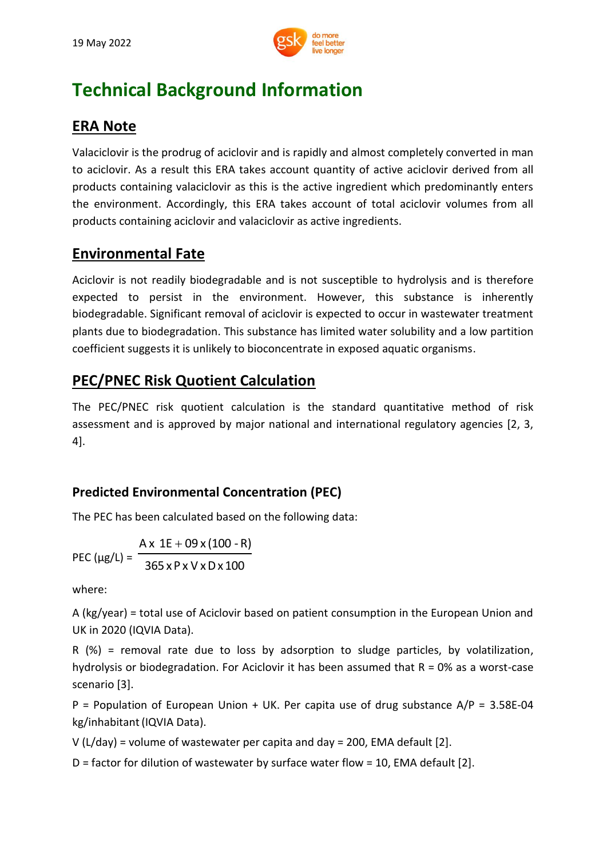

# **Technical Background Information**

## **ERA Note**

Valaciclovir is the prodrug of aciclovir and is rapidly and almost completely converted in man to aciclovir. As a result this ERA takes account quantity of active aciclovir derived from all products containing valaciclovir as this is the active ingredient which predominantly enters the environment. Accordingly, this ERA takes account of total aciclovir volumes from all products containing aciclovir and valaciclovir as active ingredients.

### **Environmental Fate**

Aciclovir is not readily biodegradable and is not susceptible to hydrolysis and is therefore expected to persist in the environment. However, this substance is inherently biodegradable. Significant removal of aciclovir is expected to occur in wastewater treatment plants due to biodegradation. This substance has limited water solubility and a low partition coefficient suggests it is unlikely to bioconcentrate in exposed aquatic organisms.

## **PEC/PNEC Risk Quotient Calculation**

The PEC/PNEC risk quotient calculation is the standard quantitative method of risk assessment and is approved by major national and international regulatory agencies [2, 3, 4].

### **Predicted Environmental Concentration (PEC)**

The PEC has been calculated based on the following data:

PEC ( $\mu$ g/L) =  $^ 365 \times P \times V \times D \times 100$  $A \times 1E + 09 \times (100 - R)$ 

where:

A (kg/year) = total use of Aciclovir based on patient consumption in the European Union and UK in 2020 (IQVIA Data).

R (%) = removal rate due to loss by adsorption to sludge particles, by volatilization, hydrolysis or biodegradation. For Aciclovir it has been assumed that  $R = 0\%$  as a worst-case scenario [3].

P = Population of European Union + UK. Per capita use of drug substance A/P = 3.58E-04 kg/inhabitant (IQVIA Data).

V (L/day) = volume of wastewater per capita and day = 200, EMA default [2].

D = factor for dilution of wastewater by surface water flow = 10, EMA default [2].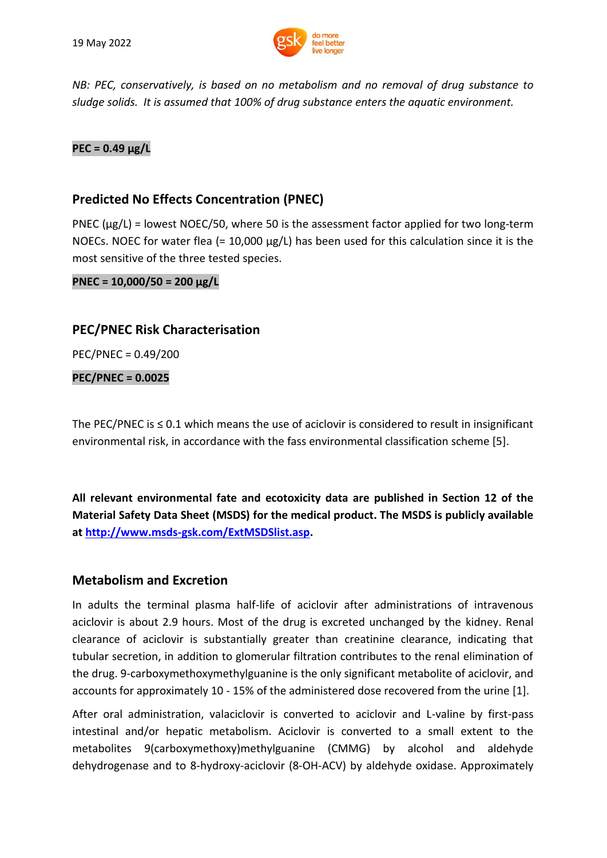

*NB: PEC, conservatively, is based on no metabolism and no removal of drug substance to sludge solids. It is assumed that 100% of drug substance enters the aquatic environment.*

#### **PEC = 0.49 μg/L**

#### **Predicted No Effects Concentration (PNEC)**

PNEC ( $\mu$ g/L) = lowest NOEC/50, where 50 is the assessment factor applied for two long-term NOECs. NOEC for water flea (=  $10,000 \mu g/L$ ) has been used for this calculation since it is the most sensitive of the three tested species.

**PNEC = 10,000/50 = 200 μg/L**

#### **PEC/PNEC Risk Characterisation**

PEC/PNEC = 0.49/200

#### **PEC/PNEC = 0.0025**

The PEC/PNEC is  $\leq$  0.1 which means the use of aciclovir is considered to result in insignificant environmental risk, in accordance with the fass environmental classification scheme [5].

**All relevant environmental fate and ecotoxicity data are published in Section 12 of the Material Safety Data Sheet (MSDS) for the medical product. The MSDS is publicly available at [http://www.msds-gsk.com/ExtMSDSlist.asp.](http://www.msds-gsk.com/ExtMSDSlist.asp)**

#### **Metabolism and Excretion**

In adults the terminal plasma half-life of aciclovir after administrations of intravenous aciclovir is about 2.9 hours. Most of the drug is excreted unchanged by the kidney. Renal clearance of aciclovir is substantially greater than creatinine clearance, indicating that tubular secretion, in addition to glomerular filtration contributes to the renal elimination of the drug. 9-carboxymethoxymethylguanine is the only significant metabolite of aciclovir, and accounts for approximately 10 - 15% of the administered dose recovered from the urine [1].

After oral administration, valaciclovir is converted to aciclovir and L-valine by first-pass intestinal and/or hepatic metabolism. Aciclovir is converted to a small extent to the metabolites 9(carboxymethoxy)methylguanine (CMMG) by alcohol and aldehyde dehydrogenase and to 8-hydroxy-aciclovir (8-OH-ACV) by aldehyde oxidase. Approximately